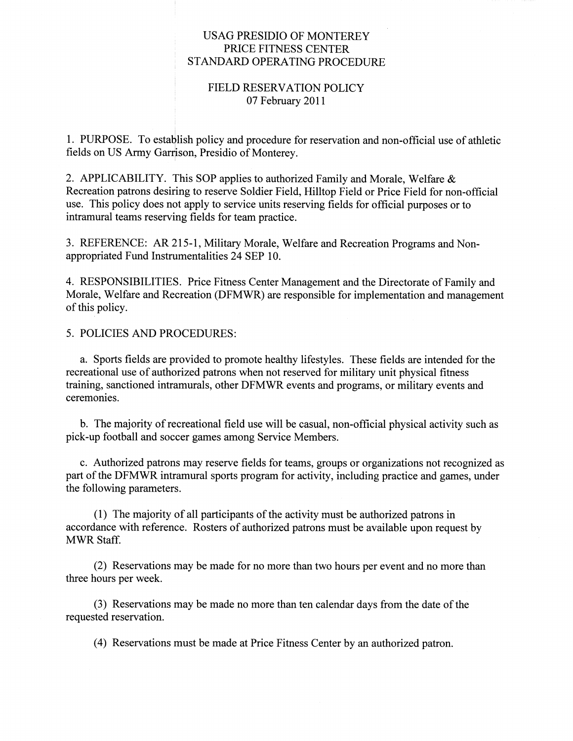## USAG PRESIDIO OF MONTEREY PRICE FITNESS CENTER STANDARD OPERATING PROCEDURE

## FIELD RESERVATION POLICY 07 February 2011

1. PURPOSE. To establish policy and procedure for reservation and non-official use of athletic fields on US Army Garrison, Presidio of Monterey.

2. APPLICABILITY. This SOP applies to authorized Family and Morale, Welfare & Recreation patrons desiring to reserve Soldier Field, Hilltop Field or Price Field for non-official use. This policy does not apply to service units reserving fields for official purposes or to intramural teams reserving fields for team practice.

3. REFERENCE: AR 215-1, Military Morale, Welfare and Recreation Programs and Nonappropriated Fund Instrumentalities 24 SEP 10.

4. RESPONSIBILITIES. Price Fitness Center Management and the Directorate of Family and Morale, Welfare and Recreation (DFMWR) are responsible for implementation and management of this policy.

5. POLICIES AND PROCEDURES:

a. Sports fields are provided to promote healthy lifestyles. These fields are intended for the recreational use of authorized patrons when not reserved for military unit physical fitness training, sanctioned intramurals, other DFMWR events and programs, or military events and ceremonies.

b. The majority of recreational field use will be casual, non-official physical activity such as pick-up football and soccer games among Service Members.

c. Authorized patrons may reserve fields for teams, groups or organizations not recognized as part of the DFMWR intramural sports program for activity, including practice and games, under the following parameters.

(1) The majority of all participants of the activity must be authorized patrons in accordance with reference. Rosters of authorized patrons must be available upon request by MWR Staff.

(2) Reservations may be made for no more than two hours per event and no more than three hours per week.

(3) Reservations may be made no more than ten calendar days from the date of the requested reservation.

(4) Reservations must be made at Price Fitness Center by an authorized patron.